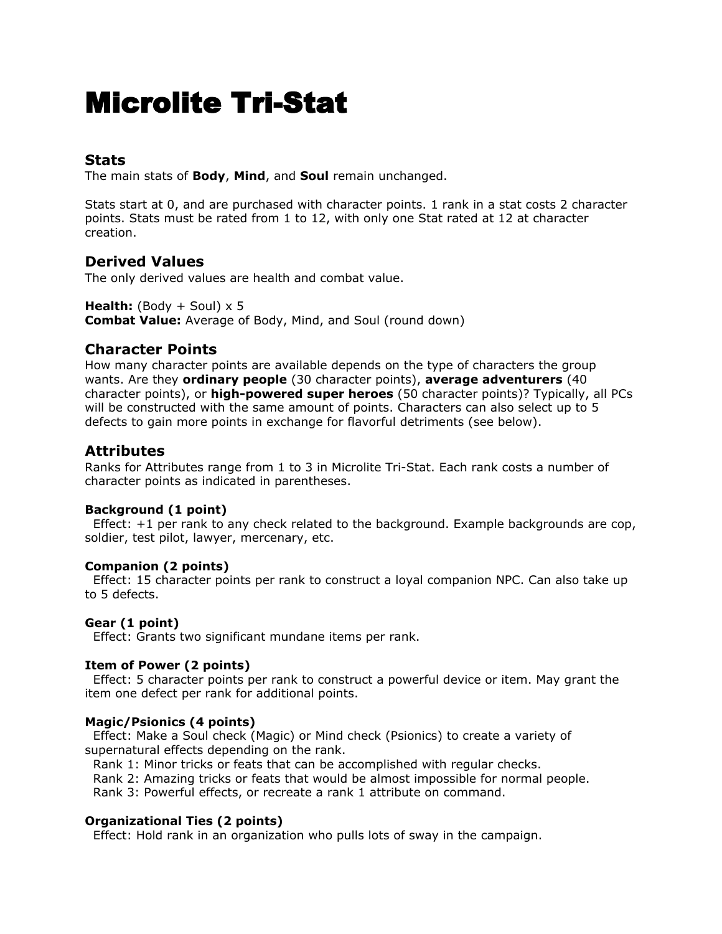# Microlite Tri-Stat

# **Stats**

The main stats of **Body**, **Mind**, and **Soul** remain unchanged.

Stats start at 0, and are purchased with character points. 1 rank in a stat costs 2 character points. Stats must be rated from 1 to 12, with only one Stat rated at 12 at character creation.

# **Derived Values**

The only derived values are health and combat value.

**Health:** (Body  $+$  Soul)  $\times$  5 **Combat Value:** Average of Body, Mind, and Soul (round down)

# **Character Points**

How many character points are available depends on the type of characters the group wants. Are they **ordinary people** (30 character points), **average adventurers** (40 character points), or **high-powered super heroes** (50 character points)? Typically, all PCs will be constructed with the same amount of points. Characters can also select up to 5 defects to gain more points in exchange for flavorful detriments (see below).

# **Attributes**

Ranks for Attributes range from 1 to 3 in Microlite Tri-Stat. Each rank costs a number of character points as indicated in parentheses.

# **Background (1 point)**

Effect:  $+1$  per rank to any check related to the background. Example backgrounds are cop, soldier, test pilot, lawyer, mercenary, etc.

# **Companion (2 points)**

Effect: 15 character points per rank to construct a loyal companion NPC. Can also take up to 5 defects.

# **Gear (1 point)**

Effect: Grants two significant mundane items per rank.

# **Item of Power (2 points)**

Effect: 5 character points per rank to construct a powerful device or item. May grant the item one defect per rank for additional points.

# **Magic/Psionics (4 points)**

Effect: Make a Soul check (Magic) or Mind check (Psionics) to create a variety of supernatural effects depending on the rank.

Rank 1: Minor tricks or feats that can be accomplished with regular checks.

Rank 2: Amazing tricks or feats that would be almost impossible for normal people.

Rank 3: Powerful effects, or recreate a rank 1 attribute on command.

# **Organizational Ties (2 points)**

Effect: Hold rank in an organization who pulls lots of sway in the campaign.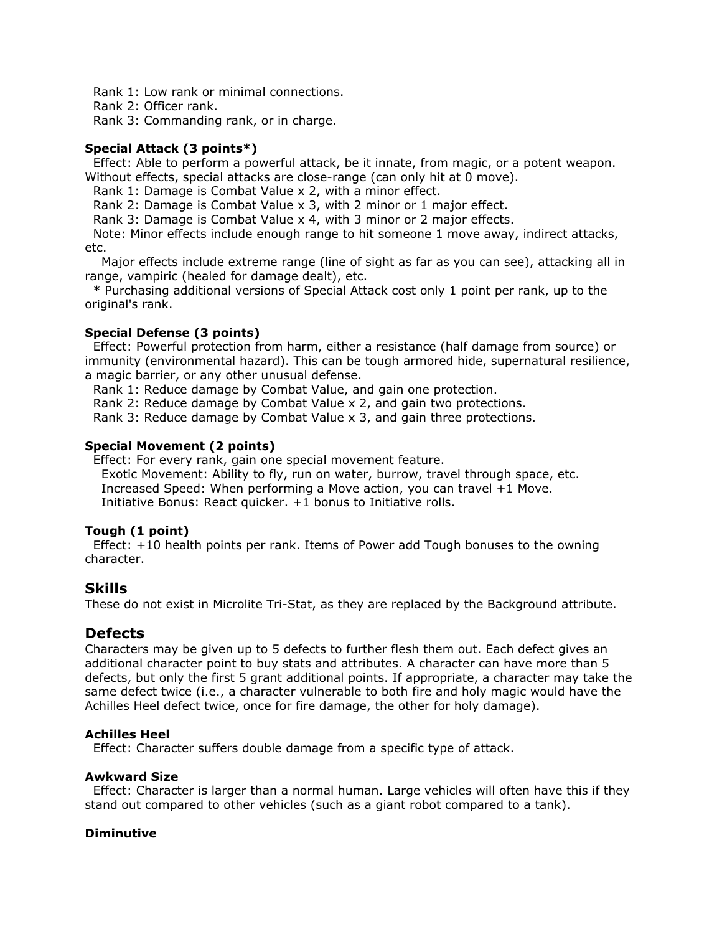Rank 1: Low rank or minimal connections.

Rank 2: Officer rank.

Rank 3: Commanding rank, or in charge.

### **Special Attack (3 points\*)**

Effect: Able to perform a powerful attack, be it innate, from magic, or a potent weapon. Without effects, special attacks are close-range (can only hit at 0 move).

Rank 1: Damage is Combat Value x 2, with a minor effect.

Rank 2: Damage is Combat Value x 3, with 2 minor or 1 major effect.

Rank 3: Damage is Combat Value x 4, with 3 minor or 2 major effects.

Note: Minor effects include enough range to hit someone 1 move away, indirect attacks, etc.

Major effects include extreme range (line of sight as far as you can see), attacking all in range, vampiric (healed for damage dealt), etc.

\* Purchasing additional versions of Special Attack cost only 1 point per rank, up to the original's rank.

#### **Special Defense (3 points)**

Effect: Powerful protection from harm, either a resistance (half damage from source) or immunity (environmental hazard). This can be tough armored hide, supernatural resilience, a magic barrier, or any other unusual defense.

Rank 1: Reduce damage by Combat Value, and gain one protection.

Rank 2: Reduce damage by Combat Value x 2, and gain two protections.

Rank 3: Reduce damage by Combat Value x 3, and gain three protections.

#### **Special Movement (2 points)**

Effect: For every rank, gain one special movement feature. Exotic Movement: Ability to fly, run on water, burrow, travel through space, etc. Increased Speed: When performing a Move action, you can travel +1 Move. Initiative Bonus: React quicker. +1 bonus to Initiative rolls.

#### **Tough (1 point)**

Effect: +10 health points per rank. Items of Power add Tough bonuses to the owning character.

# **Skills**

These do not exist in Microlite Tri-Stat, as they are replaced by the Background attribute.

# **Defects**

Characters may be given up to 5 defects to further flesh them out. Each defect gives an additional character point to buy stats and attributes. A character can have more than 5 defects, but only the first 5 grant additional points. If appropriate, a character may take the same defect twice (i.e., a character vulnerable to both fire and holy magic would have the Achilles Heel defect twice, once for fire damage, the other for holy damage).

#### **Achilles Heel**

Effect: Character suffers double damage from a specific type of attack.

#### **Awkward Size**

Effect: Character is larger than a normal human. Large vehicles will often have this if they stand out compared to other vehicles (such as a giant robot compared to a tank).

#### **Diminutive**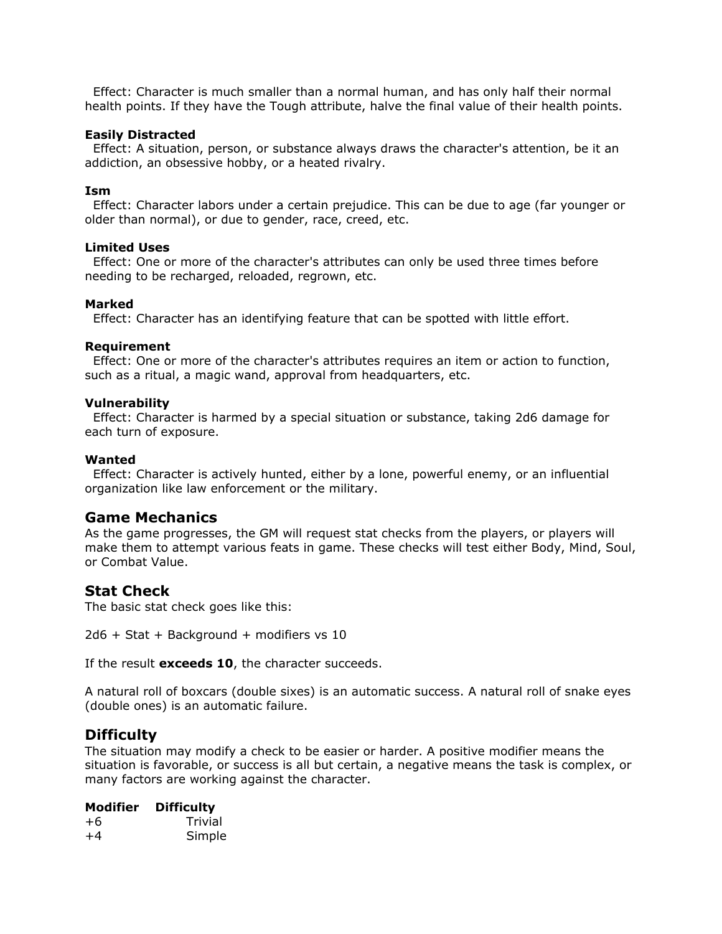Effect: Character is much smaller than a normal human, and has only half their normal health points. If they have the Tough attribute, halve the final value of their health points.

#### **Easily Distracted**

Effect: A situation, person, or substance always draws the character's attention, be it an addiction, an obsessive hobby, or a heated rivalry.

#### **Ism**

Effect: Character labors under a certain prejudice. This can be due to age (far younger or older than normal), or due to gender, race, creed, etc.

#### **Limited Uses**

Effect: One or more of the character's attributes can only be used three times before needing to be recharged, reloaded, regrown, etc.

#### **Marked**

Effect: Character has an identifying feature that can be spotted with little effort.

#### **Requirement**

Effect: One or more of the character's attributes requires an item or action to function, such as a ritual, a magic wand, approval from headquarters, etc.

#### **Vulnerability**

Effect: Character is harmed by a special situation or substance, taking 2d6 damage for each turn of exposure.

#### **Wanted**

Effect: Character is actively hunted, either by a lone, powerful enemy, or an influential organization like law enforcement or the military.

# **Game Mechanics**

As the game progresses, the GM will request stat checks from the players, or players will make them to attempt various feats in game. These checks will test either Body, Mind, Soul, or Combat Value.

# **Stat Check**

The basic stat check goes like this:

2d6 + Stat + Background + modifiers vs 10

If the result **exceeds 10**, the character succeeds.

A natural roll of boxcars (double sixes) is an automatic success. A natural roll of snake eyes (double ones) is an automatic failure.

# **Difficulty**

The situation may modify a check to be easier or harder. A positive modifier means the situation is favorable, or success is all but certain, a negative means the task is complex, or many factors are working against the character.

# **Modifier Difficulty**

| $+6$ | Trivial |
|------|---------|
| $+4$ | Simple  |